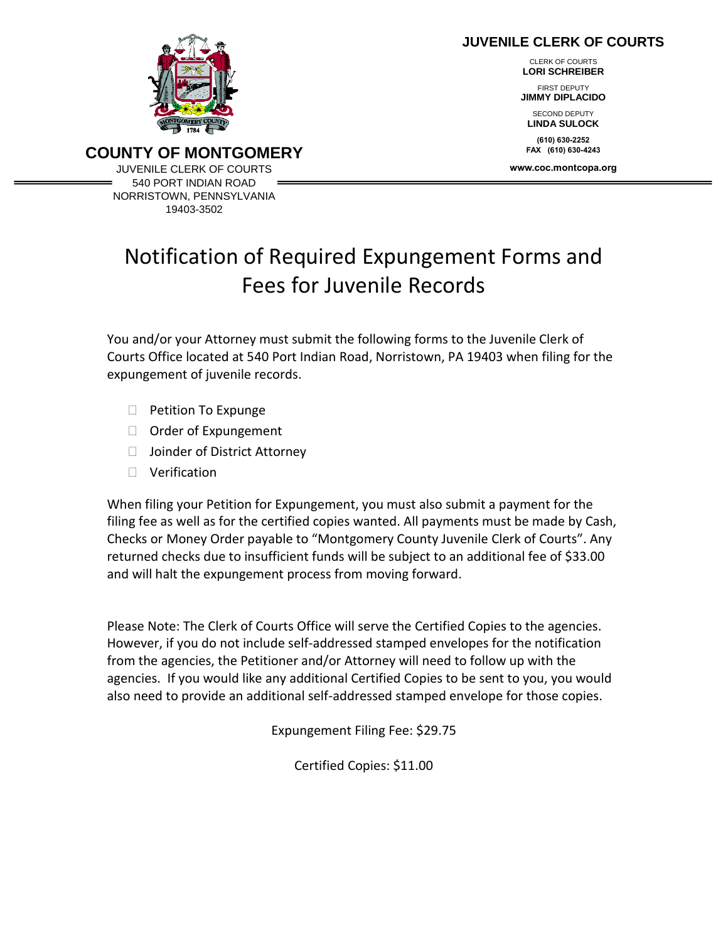#### **JUVENILE CLERK OF COURTS**

CLERK OF COURTS **LORI SCHREIBER**

FIRST DEPUTY **JIMMY DIPLACIDO**

SECOND DEPUTY **LINDA SULOCK**

**(610) 630-2252 FAX (610) 630-4243**

**www.coc.montcopa.org**



**COUNTY OF MONTGOMERY** JUVENILE CLERK OF COURTS 540 PORT INDIAN ROAD NORRISTOWN, PENNSYLVANIA 19403-3502

# Notification of Required Expungement Forms and Fees for Juvenile Records

You and/or your Attorney must submit the following forms to the Juvenile Clerk of Courts Office located at 540 Port Indian Road, Norristown, PA 19403 when filing for the expungement of juvenile records.

- $\Box$  Petition To Expunge
- Order of Expungement
- □ Joinder of District Attorney
- **D** Verification

When filing your Petition for Expungement, you must also submit a payment for the filing fee as well as for the certified copies wanted. All payments must be made by Cash, Checks or Money Order payable to "Montgomery County Juvenile Clerk of Courts". Any returned checks due to insufficient funds will be subject to an additional fee of \$33.00 and will halt the expungement process from moving forward.

Please Note: The Clerk of Courts Office will serve the Certified Copies to the agencies. However, if you do not include self-addressed stamped envelopes for the notification from the agencies, the Petitioner and/or Attorney will need to follow up with the agencies. If you would like any additional Certified Copies to be sent to you, you would also need to provide an additional self-addressed stamped envelope for those copies.

Expungement Filing Fee: \$29.75

Certified Copies: \$11.00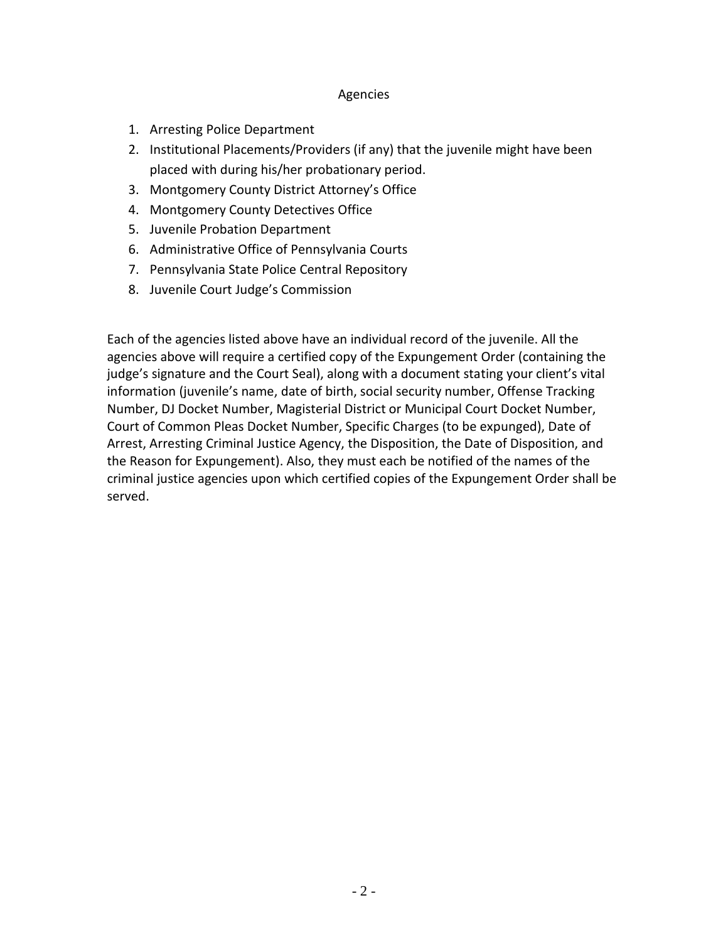#### Agencies

- 1. Arresting Police Department
- 2. Institutional Placements/Providers (if any) that the juvenile might have been placed with during his/her probationary period.
- 3. Montgomery County District Attorney's Office
- 4. Montgomery County Detectives Office
- 5. Juvenile Probation Department
- 6. Administrative Office of Pennsylvania Courts
- 7. Pennsylvania State Police Central Repository
- 8. Juvenile Court Judge's Commission

Each of the agencies listed above have an individual record of the juvenile. All the agencies above will require a certified copy of the Expungement Order (containing the judge's signature and the Court Seal), along with a document stating your client's vital information (juvenile's name, date of birth, social security number, Offense Tracking Number, DJ Docket Number, Magisterial District or Municipal Court Docket Number, Court of Common Pleas Docket Number, Specific Charges (to be expunged), Date of Arrest, Arresting Criminal Justice Agency, the Disposition, the Date of Disposition, and the Reason for Expungement). Also, they must each be notified of the names of the criminal justice agencies upon which certified copies of the Expungement Order shall be served.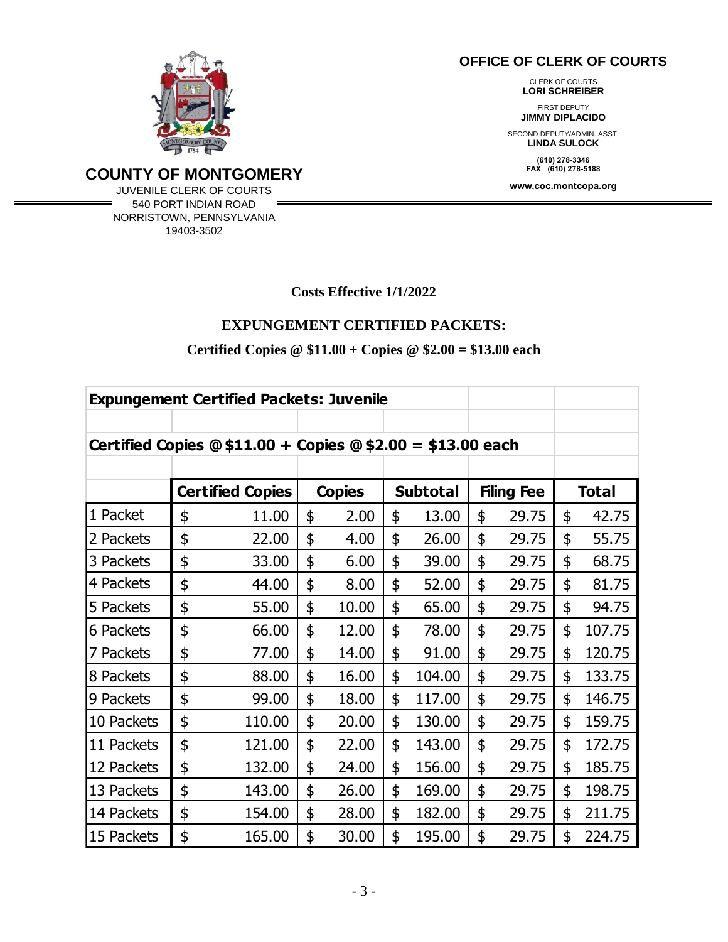### **OFFICE OF CLERK OF COURTS**

 CLERK OF COURTS **LORI SCHREIBER**

FIRST DEPUTY **JIMMY DIPLACIDO**

SECOND DEPUTY/ADMIN. ASST. **LINDA SULOCK**

**(610) 278-3346 FAX (610) 278-5188**

**www.coc.montcopa.org**

**COUNTY OF MONTGOMERY**

JUVENILE CLERK OF COURTS 540 PORT INDIAN ROAD NORRISTOWN, PENNSYLVANIA 19403-3502

**Costs Effective 1/1/2022**

# **EXPUNGEMENT CERTIFIED PACKETS:**

## **Certified Copies @ \$11.00 + Copies @ \$2.00 = \$13.00 each**

| <b>Expungement Certified Packets: Juvenile</b>           |    |                         |               |       |                 |        |                   |       |              |        |
|----------------------------------------------------------|----|-------------------------|---------------|-------|-----------------|--------|-------------------|-------|--------------|--------|
| Certified Copies $@$11.00 + Copies @$2.00 = $13.00$ each |    |                         |               |       |                 |        |                   |       |              |        |
|                                                          |    | <b>Certified Copies</b> | <b>Copies</b> |       | <b>Subtotal</b> |        | <b>Filing Fee</b> |       | <b>Total</b> |        |
| 1 Packet                                                 | \$ | 11.00                   | \$            | 2.00  | \$              | 13.00  | \$                | 29.75 | \$           | 42.75  |
| 2 Packets                                                | \$ | 22.00                   | \$            | 4.00  | \$              | 26.00  | \$                | 29.75 | \$           | 55.75  |
| 3 Packets                                                | \$ | 33.00                   | \$            | 6.00  | \$              | 39.00  | \$                | 29.75 | \$           | 68.75  |
| 4 Packets                                                | \$ | 44.00                   | \$            | 8.00  | \$              | 52.00  | \$                | 29.75 | \$           | 81.75  |
| 5 Packets                                                | \$ | 55.00                   | \$            | 10.00 | \$              | 65.00  | \$                | 29.75 | \$           | 94.75  |
| 6 Packets                                                | \$ | 66.00                   | \$            | 12.00 | \$              | 78.00  | \$                | 29.75 | \$           | 107.75 |
| 7 Packets                                                | \$ | 77.00                   | \$            | 14.00 | \$              | 91.00  | \$                | 29.75 | \$           | 120.75 |
| 8 Packets                                                | \$ | 88.00                   | \$            | 16.00 | \$              | 104.00 | \$                | 29.75 | \$           | 133.75 |
| 9 Packets                                                | \$ | 99.00                   | \$            | 18.00 | \$              | 117.00 | \$                | 29.75 | \$           | 146.75 |
| 10 Packets                                               | \$ | 110.00                  | \$            | 20.00 | \$              | 130.00 | \$                | 29.75 | \$           | 159.75 |
| 11 Packets                                               | \$ | 121.00                  | \$            | 22.00 | \$              | 143.00 | \$                | 29.75 | \$           | 172.75 |
| 12 Packets                                               | \$ | 132.00                  | \$            | 24.00 | \$              | 156.00 | \$                | 29.75 | \$           | 185.75 |
| 13 Packets                                               | \$ | 143.00                  | \$            | 26.00 | \$              | 169.00 | \$                | 29.75 | \$           | 198.75 |
| 14 Packets                                               | \$ | 154.00                  | \$            | 28.00 | \$              | 182.00 | \$                | 29.75 | \$           | 211.75 |
| 15 Packets                                               | \$ | 165.00                  | \$            | 30.00 | \$              | 195.00 | \$                | 29.75 | \$           | 224.75 |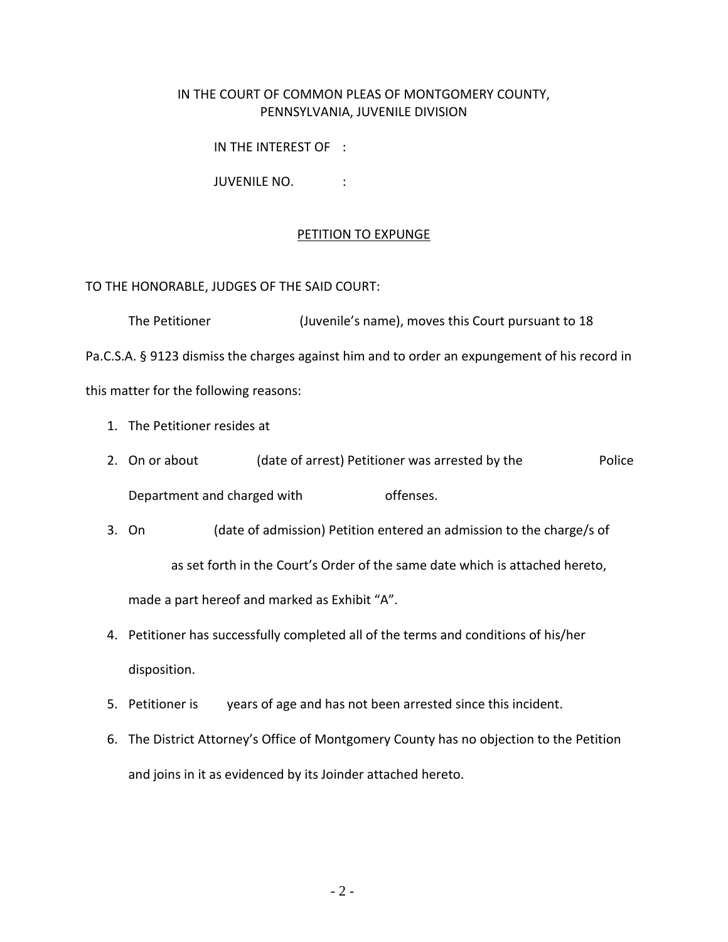### IN THE COURT OF COMMON PLEAS OF MONTGOMERY COUNTY, PENNSYLVANIA, JUVENILE DIVISION

IN THE INTEREST OF :

JUVENILE NO. :

#### PETITION TO EXPUNGE

TO THE HONORABLE, JUDGES OF THE SAID COURT:

The Petitioner (Juvenile's name), moves this Court pursuant to 18 Pa.C.S.A. § 9123 dismiss the charges against him and to order an expungement of his record in this matter for the following reasons:

- 1. The Petitioner resides at
- 2. On or about (date of arrest) Petitioner was arrested by the Police

Department and charged with offenses.

- 3. On (date of admission) Petition entered an admission to the charge/s of as set forth in the Court's Order of the same date which is attached hereto, made a part hereof and marked as Exhibit "A".
- 4. Petitioner has successfully completed all of the terms and conditions of his/her disposition.
- 5. Petitioner is years of age and has not been arrested since this incident.
- 6. The District Attorney's Office of Montgomery County has no objection to the Petition and joins in it as evidenced by its Joinder attached hereto.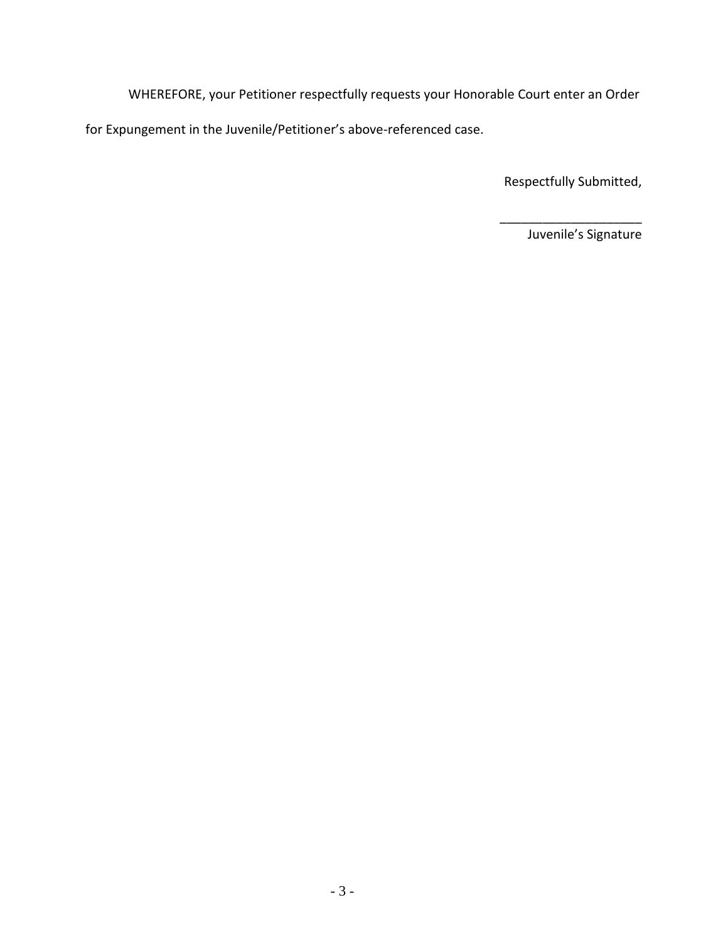WHEREFORE, your Petitioner respectfully requests your Honorable Court enter an Order for Expungement in the Juvenile/Petitioner's above-referenced case.

Respectfully Submitted,

\_\_\_\_\_\_\_\_\_\_\_\_\_\_\_\_\_\_\_\_

Juvenile's Signature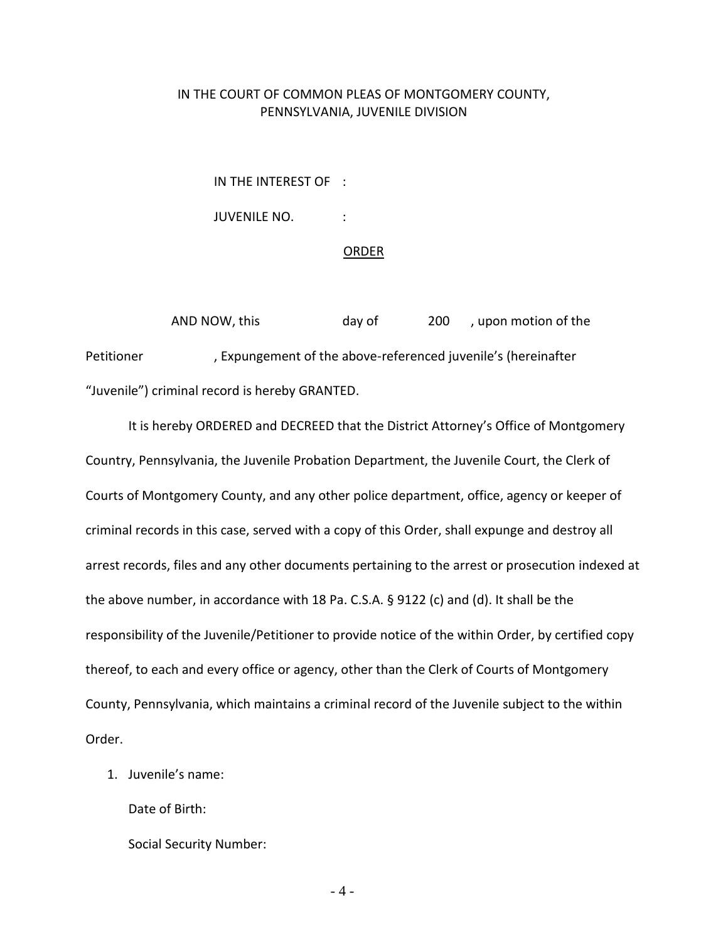## IN THE COURT OF COMMON PLEAS OF MONTGOMERY COUNTY, PENNSYLVANIA, JUVENILE DIVISION

IN THE INTEREST OF :

JUVENILE NO. :

#### ORDER

AND NOW, this day of 200 , upon motion of the Petitioner , Expungement of the above-referenced juvenile's (hereinafter "Juvenile") criminal record is hereby GRANTED.

It is hereby ORDERED and DECREED that the District Attorney's Office of Montgomery Country, Pennsylvania, the Juvenile Probation Department, the Juvenile Court, the Clerk of Courts of Montgomery County, and any other police department, office, agency or keeper of criminal records in this case, served with a copy of this Order, shall expunge and destroy all arrest records, files and any other documents pertaining to the arrest or prosecution indexed at the above number, in accordance with 18 Pa. C.S.A. § 9122 (c) and (d). It shall be the responsibility of the Juvenile/Petitioner to provide notice of the within Order, by certified copy thereof, to each and every office or agency, other than the Clerk of Courts of Montgomery County, Pennsylvania, which maintains a criminal record of the Juvenile subject to the within Order.

1. Juvenile's name:

Date of Birth:

Social Security Number: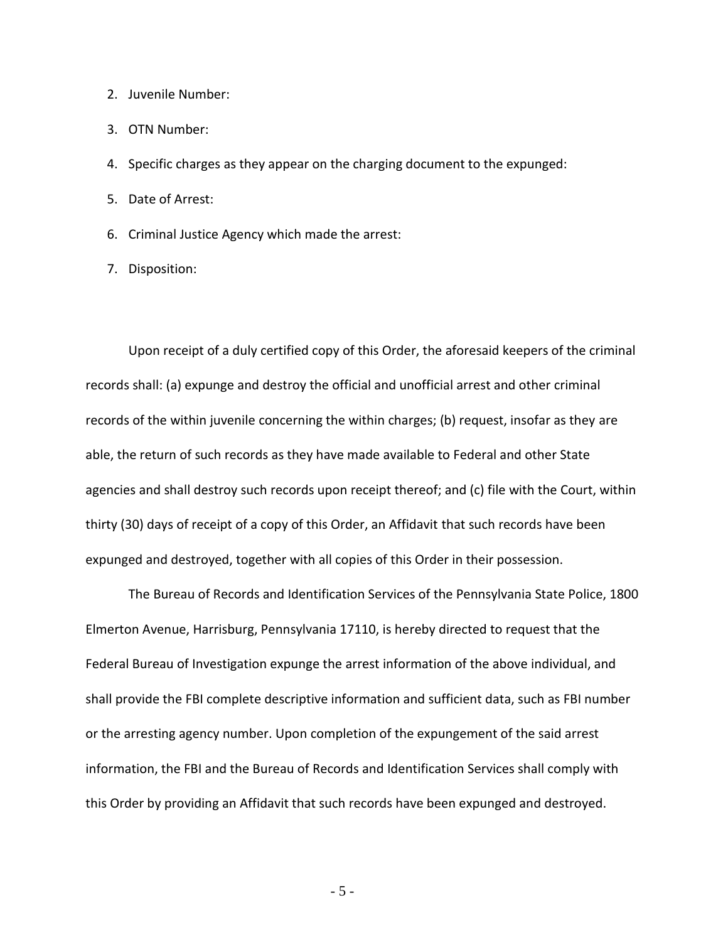2. Juvenile Number:

3. OTN Number:

4. Specific charges as they appear on the charging document to the expunged:

5. Date of Arrest:

6. Criminal Justice Agency which made the arrest:

7. Disposition:

Upon receipt of a duly certified copy of this Order, the aforesaid keepers of the criminal records shall: (a) expunge and destroy the official and unofficial arrest and other criminal records of the within juvenile concerning the within charges; (b) request, insofar as they are able, the return of such records as they have made available to Federal and other State agencies and shall destroy such records upon receipt thereof; and (c) file with the Court, within thirty (30) days of receipt of a copy of this Order, an Affidavit that such records have been expunged and destroyed, together with all copies of this Order in their possession.

The Bureau of Records and Identification Services of the Pennsylvania State Police, 1800 Elmerton Avenue, Harrisburg, Pennsylvania 17110, is hereby directed to request that the Federal Bureau of Investigation expunge the arrest information of the above individual, and shall provide the FBI complete descriptive information and sufficient data, such as FBI number or the arresting agency number. Upon completion of the expungement of the said arrest information, the FBI and the Bureau of Records and Identification Services shall comply with this Order by providing an Affidavit that such records have been expunged and destroyed.

- 5 -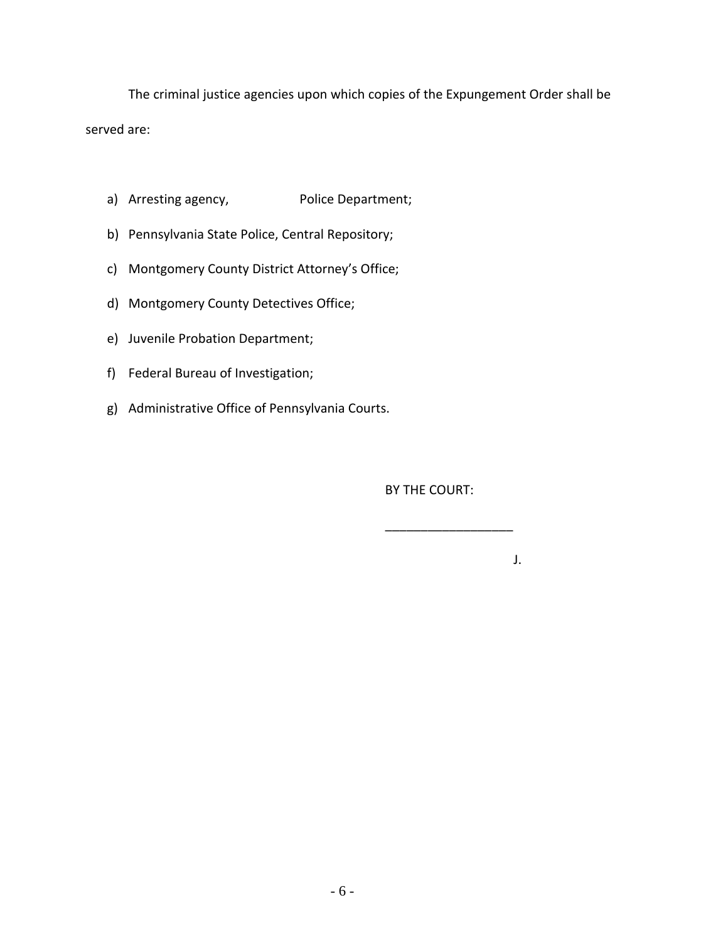The criminal justice agencies upon which copies of the Expungement Order shall be served are:

- a) Arresting agency, Police Department;
- b) Pennsylvania State Police, Central Repository;
- c) Montgomery County District Attorney's Office;
- d) Montgomery County Detectives Office;
- e) Juvenile Probation Department;
- f) Federal Bureau of Investigation;
- g) Administrative Office of Pennsylvania Courts.

BY THE COURT:

\_\_\_\_\_\_\_\_\_\_\_\_\_\_\_\_\_\_

J.